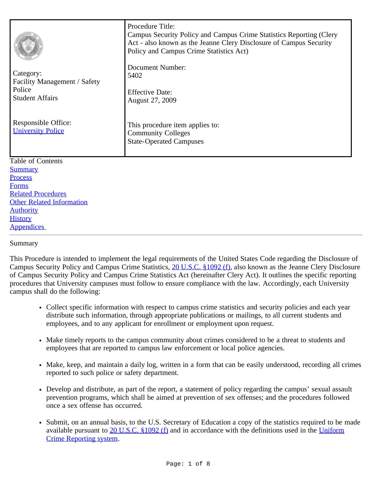| Document Number:<br>Category:<br>5402<br>Facility Management / Safety<br>Police<br><b>Effective Date:</b><br><b>Student Affairs</b><br>August 27, 2009 |                     | Procedure Title:<br>Campus Security Policy and Campus Crime Statistics Reporting (Clery<br>Act - also known as the Jeanne Clery Disclosure of Campus Security<br>Policy and Campus Crime Statistics Act) |
|--------------------------------------------------------------------------------------------------------------------------------------------------------|---------------------|----------------------------------------------------------------------------------------------------------------------------------------------------------------------------------------------------------|
|                                                                                                                                                        |                     |                                                                                                                                                                                                          |
| <b>University Police</b><br><b>Community Colleges</b><br><b>State-Operated Campuses</b>                                                                | Responsible Office: | This procedure item applies to:                                                                                                                                                                          |
| <b>Table of Contents</b>                                                                                                                               |                     |                                                                                                                                                                                                          |
| <b>Summary</b><br>Process                                                                                                                              |                     |                                                                                                                                                                                                          |
| <b>Forms</b>                                                                                                                                           |                     |                                                                                                                                                                                                          |
| <b>Related Procedures</b>                                                                                                                              |                     |                                                                                                                                                                                                          |
| <b>Other Related Information</b>                                                                                                                       |                     |                                                                                                                                                                                                          |
| <b>Authority</b>                                                                                                                                       |                     |                                                                                                                                                                                                          |
| <b>History</b>                                                                                                                                         |                     |                                                                                                                                                                                                          |
| <b>Appendices</b>                                                                                                                                      |                     |                                                                                                                                                                                                          |

<span id="page-0-0"></span>Summary

This Procedure is intended to implement the legal requirements of the United States Code regarding the Disclosure of Campus Security Policy and Campus Crime Statistics, [20 U.S.C. §1092 \(f\)](http://frwebgate.access.gpo.gov/cgi-bin/getdoc.cgi?dbname=browse_usc&docid=Cite:+20USC1092), also known as the Jeanne Clery Disclosure of Campus Security Policy and Campus Crime Statistics Act (hereinafter Clery Act). It outlines the specific reporting procedures that University campuses must follow to ensure compliance with the law. Accordingly, each University campus shall do the following:

- Collect specific information with respect to campus crime statistics and security policies and each year distribute such information, through appropriate publications or mailings, to all current students and employees, and to any applicant for enrollment or employment upon request.
- Make timely reports to the campus community about crimes considered to be a threat to students and employees that are reported to campus law enforcement or local police agencies.
- Make, keep, and maintain a daily log, written in a form that can be easily understood, recording all crimes reported to such police or safety department.
- Develop and distribute, as part of the report, a statement of policy regarding the campus' sexual assault prevention programs, which shall be aimed at prevention of sex offenses; and the procedures followed once a sex offense has occurred.
- Submit, on an annual basis, to the U.S. Secretary of Education a copy of the statistics required to be made available pursuant to [20 U.S.C. §1092 \(f\)](http://frwebgate.access.gpo.gov/cgi-bin/getdoc.cgi?dbname=browse_usc&docid=Cite:+20USC1092) and in accordance with the definitions used in the [Uniform](http://www.fbi.gov/ucr/ucr.htm) [Crime Reporting system.](http://www.fbi.gov/ucr/ucr.htm)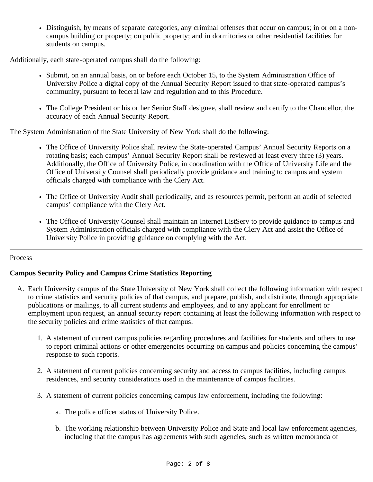Distinguish, by means of separate categories, any criminal offenses that occur on campus; in or on a noncampus building or property; on public property; and in dormitories or other residential facilities for students on campus.

Additionally, each state-operated campus shall do the following:

- Submit, on an annual basis, on or before each October 15, to the System Administration Office of University Police a digital copy of the Annual Security Report issued to that state-operated campus's community, pursuant to federal law and regulation and to this Procedure.
- The College President or his or her Senior Staff designee, shall review and certify to the Chancellor, the accuracy of each Annual Security Report.

The System Administration of the State University of New York shall do the following:

- The Office of University Police shall review the State-operated Campus' Annual Security Reports on a rotating basis; each campus' Annual Security Report shall be reviewed at least every three (3) years. Additionally, the Office of University Police, in coordination with the Office of University Life and the Office of University Counsel shall periodically provide guidance and training to campus and system officials charged with compliance with the Clery Act.
- The Office of University Audit shall periodically, and as resources permit, perform an audit of selected campus' compliance with the Clery Act.
- The Office of University Counsel shall maintain an Internet ListServ to provide guidance to campus and System Administration officials charged with compliance with the Clery Act and assist the Office of University Police in providing guidance on complying with the Act.

## <span id="page-1-0"></span>Process

# **Campus Security Policy and Campus Crime Statistics Reporting**

- A. Each University campus of the State University of New York shall collect the following information with respect to crime statistics and security policies of that campus, and prepare, publish, and distribute, through appropriate publications or mailings, to all current students and employees, and to any applicant for enrollment or employment upon request, an annual security report containing at least the following information with respect to the security policies and crime statistics of that campus:
	- 1. A statement of current campus policies regarding procedures and facilities for students and others to use to report criminal actions or other emergencies occurring on campus and policies concerning the campus' response to such reports.
	- 2. A statement of current policies concerning security and access to campus facilities, including campus residences, and security considerations used in the maintenance of campus facilities.
	- 3. A statement of current policies concerning campus law enforcement, including the following:
		- a. The police officer status of University Police.
		- b. The working relationship between University Police and State and local law enforcement agencies, including that the campus has agreements with such agencies, such as written memoranda of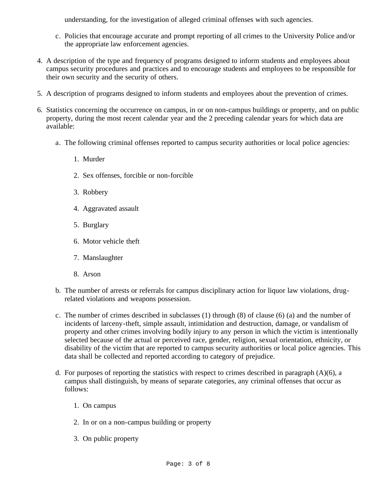understanding, for the investigation of alleged criminal offenses with such agencies.

- c. Policies that encourage accurate and prompt reporting of all crimes to the University Police and/or the appropriate law enforcement agencies.
- 4. A description of the type and frequency of programs designed to inform students and employees about campus security procedures and practices and to encourage students and employees to be responsible for their own security and the security of others.
- 5. A description of programs designed to inform students and employees about the prevention of crimes.
- 6. Statistics concerning the occurrence on campus, in or on non-campus buildings or property, and on public property, during the most recent calendar year and the 2 preceding calendar years for which data are available:
	- a. The following criminal offenses reported to campus security authorities or local police agencies:
		- 1. Murder
		- 2. Sex offenses, forcible or non-forcible
		- 3. Robbery
		- 4. Aggravated assault
		- 5. Burglary
		- 6. Motor vehicle theft
		- 7. Manslaughter
		- 8. Arson
	- b. The number of arrests or referrals for campus disciplinary action for liquor law violations, drugrelated violations and weapons possession.
	- c. The number of crimes described in subclasses (1) through (8) of clause (6) (a) and the number of incidents of larceny-theft, simple assault, intimidation and destruction, damage, or vandalism of property and other crimes involving bodily injury to any person in which the victim is intentionally selected because of the actual or perceived race, gender, religion, sexual orientation, ethnicity, or disability of the victim that are reported to campus security authorities or local police agencies. This data shall be collected and reported according to category of prejudice.
	- d. For purposes of reporting the statistics with respect to crimes described in paragraph  $(A)(6)$ , a campus shall distinguish, by means of separate categories, any criminal offenses that occur as follows:
		- 1. On campus
		- 2. In or on a non-campus building or property
		- 3. On public property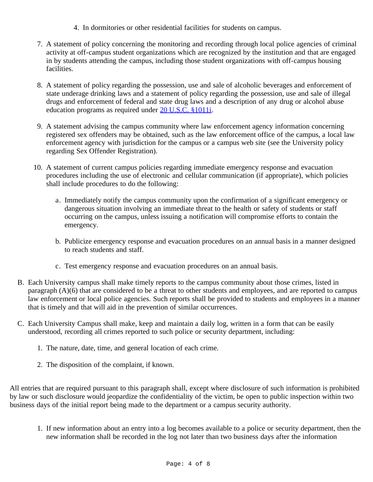- 4. In dormitories or other residential facilities for students on campus.
- 7. A statement of policy concerning the monitoring and recording through local police agencies of criminal activity at off-campus student organizations which are recognized by the institution and that are engaged in by students attending the campus, including those student organizations with off-campus housing facilities.
- 8. A statement of policy regarding the possession, use and sale of alcoholic beverages and enforcement of state underage drinking laws and a statement of policy regarding the possession, use and sale of illegal drugs and enforcement of federal and state drug laws and a description of any drug or alcohol abuse education programs as required under [20 U.S.C. §1011i.](http://frwebgate.access.gpo.gov/cgi-bin/getdoc.cgi?dbname=browse_usc&docid=Cite:+20USC1011i)
- 9. A statement advising the campus community where law enforcement agency information concerning registered sex offenders may be obtained, such as the law enforcement office of the campus, a local law enforcement agency with jurisdiction for the campus or a campus web site (see the University policy regarding Sex Offender Registration).
- 10. A statement of current campus policies regarding immediate emergency response and evacuation procedures including the use of electronic and cellular communication (if appropriate), which policies shall include procedures to do the following:
	- a. Immediately notify the campus community upon the confirmation of a significant emergency or dangerous situation involving an immediate threat to the health or safety of students or staff occurring on the campus, unless issuing a notification will compromise efforts to contain the emergency.
	- b. Publicize emergency response and evacuation procedures on an annual basis in a manner designed to reach students and staff.
	- c. Test emergency response and evacuation procedures on an annual basis.
- B. Each University campus shall make timely reports to the campus community about those crimes, listed in paragraph (A)(6) that are considered to be a threat to other students and employees, and are reported to campus law enforcement or local police agencies. Such reports shall be provided to students and employees in a manner that is timely and that will aid in the prevention of similar occurrences.
- C. Each University Campus shall make, keep and maintain a daily log, written in a form that can be easily understood, recording all crimes reported to such police or security department, including:
	- 1. The nature, date, time, and general location of each crime.
	- 2. The disposition of the complaint, if known.

All entries that are required pursuant to this paragraph shall, except where disclosure of such information is prohibited by law or such disclosure would jeopardize the confidentiality of the victim, be open to public inspection within two business days of the initial report being made to the department or a campus security authority.

1. If new information about an entry into a log becomes available to a police or security department, then the new information shall be recorded in the log not later than two business days after the information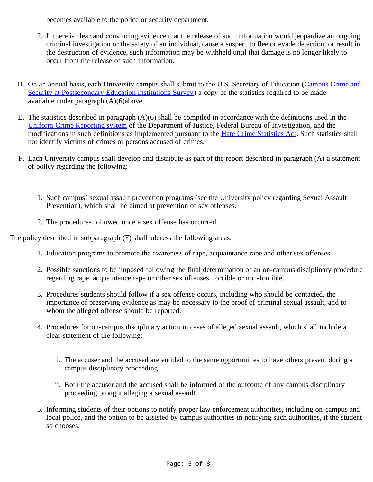becomes available to the police or security department.

- 2. If there is clear and convincing evidence that the release of such information would jeopardize an ongoing criminal investigation or the safety of an individual, cause a suspect to flee or evade detection, or result in the destruction of evidence, such information may be withheld until that damage is no longer likely to occur from the release of such information.
- D. On an annual basis, each University campus shall submit to the U.S. Secretary of Education ([Campus Crime and](http://surveys.ope.ed.gov/security/) [Security at Postsecondary Education Institutions Survey](http://surveys.ope.ed.gov/security/)) a copy of the statistics required to be made available under paragraph (A)(6)above.
- E. The statistics described in paragraph (A)(6) shall be compiled in accordance with the definitions used in the [Uniform Crime Reporting system](http://www.securityoncampus.org/schools/cleryact/definitions.html) of the Department of Justice, Federal Bureau of Investigation, and the modifications in such definitions as implemented pursuant to the [Hate Crime Statistics Act](http://frwebgate.access.gpo.gov/cgi-bin/getdoc.cgi?dbname=browse_usc&docid=Cite:+28USC534). Such statistics shall not identify victims of crimes or persons accused of crimes.
- F. Each University campus shall develop and distribute as part of the report described in paragraph (A) a statement of policy regarding the following:
	- 1. Such campus' sexual assault prevention programs (see the University policy regarding Sexual Assault Prevention), which shall be aimed at prevention of sex offenses.
	- 2. The procedures followed once a sex offense has occurred.

The policy described in subparagraph (F) shall address the following areas:

- 1. Education programs to promote the awareness of rape, acquaintance rape and other sex offenses.
- 2. Possible sanctions to be imposed following the final determination of an on-campus disciplinary procedure regarding rape, acquaintance rape or other sex offenses, forcible or non-forcible.
- 3. Procedures students should follow if a sex offense occurs, including who should be contacted, the importance of preserving evidence as may be necessary to the proof of criminal sexual assault, and to whom the alleged offense should be reported.
- 4. Procedures for on-campus disciplinary action in cases of alleged sexual assault, which shall include a clear statement of the following:
	- i. The accuser and the accused are entitled to the same opportunities to have others present during a campus disciplinary proceeding.
	- ii. Both the accuser and the accused shall be informed of the outcome of any campus disciplinary proceeding brought alleging a sexual assault.
- 5. Informing students of their options to notify proper law enforcement authorities, including on-campus and local police, and the option to be assisted by campus authorities in notifying such authorities, if the student so chooses.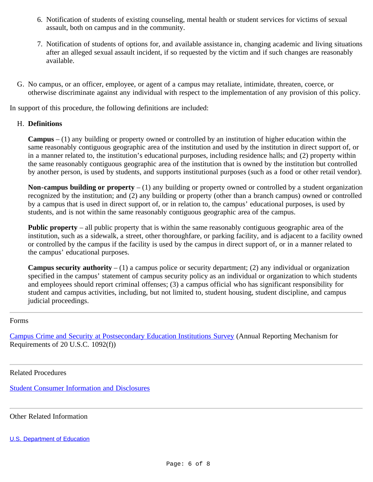- 6. Notification of students of existing counseling, mental health or student services for victims of sexual assault, both on campus and in the community.
- 7. Notification of students of options for, and available assistance in, changing academic and living situations after an alleged sexual assault incident, if so requested by the victim and if such changes are reasonably available.
- G. No campus, or an officer, employee, or agent of a campus may retaliate, intimidate, threaten, coerce, or otherwise discriminate against any individual with respect to the implementation of any provision of this policy.

In support of this procedure, the following definitions are included:

### H. **Definitions**

**Campus** – (1) any building or property owned or controlled by an institution of higher education within the same reasonably contiguous geographic area of the institution and used by the institution in direct support of, or in a manner related to, the institution's educational purposes, including residence halls; and (2) property within the same reasonably contiguous geographic area of the institution that is owned by the institution but controlled by another person, is used by students, and supports institutional purposes (such as a food or other retail vendor).

**Non-campus building or property** – (1) any building or property owned or controlled by a student organization recognized by the institution; and (2) any building or property (other than a branch campus) owned or controlled by a campus that is used in direct support of, or in relation to, the campus' educational purposes, is used by students, and is not within the same reasonably contiguous geographic area of the campus.

**Public property** – all public property that is within the same reasonably contiguous geographic area of the institution, such as a sidewalk, a street, other thoroughfare, or parking facility, and is adjacent to a facility owned or controlled by the campus if the facility is used by the campus in direct support of, or in a manner related to the campus' educational purposes.

**Campus security authority** – (1) a campus police or security department; (2) any individual or organization specified in the campus' statement of campus security policy as an individual or organization to which students and employees should report criminal offenses; (3) a campus official who has significant responsibility for student and campus activities, including, but not limited to, student housing, student discipline, and campus judicial proceedings.

#### <span id="page-5-0"></span>Forms

[Campus Crime and Security at Postsecondary Education Institutions Survey](http://surveys.ope.ed.gov/security/) (Annual Reporting Mechanism for Requirements of 20 U.S.C. 1092(f))

<span id="page-5-1"></span>Related Procedures

[Student Consumer Information and Disclosures](http://www.suny.edu/sunypp/lookup.cfm?lookup_id=448)

<span id="page-5-2"></span>Other Related Information

[U.S. Department of Education](http://www.ed.gov/admins/lead/safety/campus.html#statute)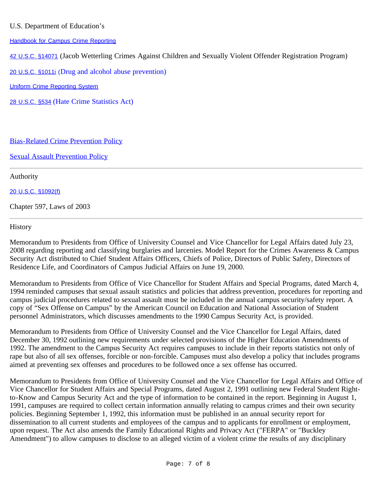# U.S. Department of Education's

[Handbook for Campus Crime Reporting](http://www.ed.gov/admins/lead/safety/handbook.pdf)

[42 U.S.C. §14071](http://frwebgate.access.gpo.gov/cgi-bin/getdoc.cgi?dbname=browse_usc&docid=Cite:+42USC14071) (Jacob Wetterling Crimes Against Children and Sexually Violent Offender Registration Program)

[20 U.S.C. §1011i](http://frwebgate.access.gpo.gov/cgi-bin/getdoc.cgi?dbname=browse_usc&docid=Cite:+20USC1011i) (Drug and alcohol abuse prevention)

[Uniform Crime Reporting System](http://www.securityoncampus.org/schools/cleryact/definitions.html)

[28 U.S.C. §534](http://frwebgate.access.gpo.gov/cgi-bin/getdoc.cgi?dbname=browse_usc&docid=Cite:+28USC534) (Hate Crime Statistics Act)

## [Bias-Related Crime Prevention Policy](http://www.suny.edu/sunypp/lookup.cfm?lookup_id=354)

**[Sexual Assault Prevention Policy](http://www.suny.edu/sunypp/lookup.cfm?lookup_id=356)** 

<span id="page-6-0"></span>Authority

[20 U.S.C. §1092\(f\)](http://frwebgate.access.gpo.gov/cgi-bin/getdoc.cgi?dbname=browse_usc&docid=Cite:+20USC1092)

Chapter 597, Laws of 2003

### <span id="page-6-1"></span>**History**

Memorandum to Presidents from Office of University Counsel and Vice Chancellor for Legal Affairs dated July 23, 2008 regarding reporting and classifying burglaries and larcenies. Model Report for the Crimes Awareness & Campus Security Act distributed to Chief Student Affairs Officers, Chiefs of Police, Directors of Public Safety, Directors of Residence Life, and Coordinators of Campus Judicial Affairs on June 19, 2000.

Memorandum to Presidents from Office of Vice Chancellor for Student Affairs and Special Programs, dated March 4, 1994 reminded campuses that sexual assault statistics and policies that address prevention, procedures for reporting and campus judicial procedures related to sexual assault must be included in the annual campus security/safety report. A copy of "Sex Offense on Campus" by the American Council on Education and National Association of Student personnel Administrators, which discusses amendments to the 1990 Campus Security Act, is provided.

Memorandum to Presidents from Office of University Counsel and the Vice Chancellor for Legal Affairs, dated December 30, 1992 outlining new requirements under selected provisions of the Higher Education Amendments of 1992. The amendment to the Campus Security Act requires campuses to include in their reports statistics not only of rape but also of all sex offenses, forcible or non-forcible. Campuses must also develop a policy that includes programs aimed at preventing sex offenses and procedures to be followed once a sex offense has occurred.

Memorandum to Presidents from Office of University Counsel and the Vice Chancellor for Legal Affairs and Office of Vice Chancellor for Student Affairs and Special Programs, dated August 2, 1991 outlining new Federal Student Rightto-Know and Campus Security Act and the type of information to be contained in the report. Beginning in August 1, 1991, campuses are required to collect certain information annually relating to campus crimes and their own security policies. Beginning September 1, 1992, this information must be published in an annual security report for dissemination to all current students and employees of the campus and to applicants for enrollment or employment, upon request. The Act also amends the Family Educational Rights and Privacy Act ("FERPA" or "Buckley Amendment") to allow campuses to disclose to an alleged victim of a violent crime the results of any disciplinary